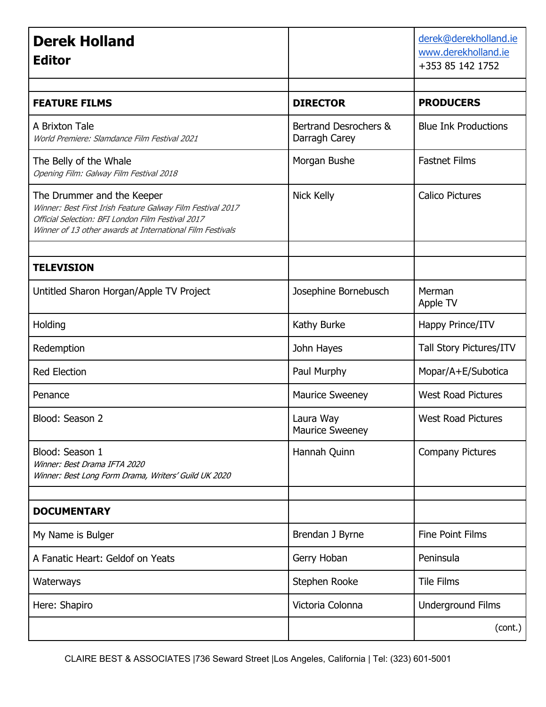| <b>Derek Holland</b><br><b>Editor</b>                                                                                                                                                                      |                                        | derek@derekholland.ie<br>www.derekholland.ie<br>+353 85 142 1752 |
|------------------------------------------------------------------------------------------------------------------------------------------------------------------------------------------------------------|----------------------------------------|------------------------------------------------------------------|
|                                                                                                                                                                                                            |                                        |                                                                  |
| <b>FEATURE FILMS</b>                                                                                                                                                                                       | <b>DIRECTOR</b>                        | <b>PRODUCERS</b>                                                 |
| A Brixton Tale<br>World Premiere: Slamdance Film Festival 2021                                                                                                                                             | Bertrand Desrochers &<br>Darragh Carey | <b>Blue Ink Productions</b>                                      |
| The Belly of the Whale<br>Opening Film: Galway Film Festival 2018                                                                                                                                          | Morgan Bushe                           | <b>Fastnet Films</b>                                             |
| The Drummer and the Keeper<br>Winner: Best First Irish Feature Galway Film Festival 2017<br>Official Selection: BFI London Film Festival 2017<br>Winner of 13 other awards at International Film Festivals | <b>Nick Kelly</b>                      | <b>Calico Pictures</b>                                           |
| <b>TELEVISION</b>                                                                                                                                                                                          |                                        |                                                                  |
| Untitled Sharon Horgan/Apple TV Project                                                                                                                                                                    | Josephine Bornebusch                   | Merman<br>Apple TV                                               |
| Holding                                                                                                                                                                                                    | Kathy Burke                            | Happy Prince/ITV                                                 |
| Redemption                                                                                                                                                                                                 | John Hayes                             | Tall Story Pictures/ITV                                          |
| <b>Red Election</b>                                                                                                                                                                                        | Paul Murphy                            | Mopar/A+E/Subotica                                               |
| Penance                                                                                                                                                                                                    | <b>Maurice Sweeney</b>                 | <b>West Road Pictures</b>                                        |
| Blood: Season 2                                                                                                                                                                                            | Laura Way<br>Maurice Sweeney           | <b>West Road Pictures</b>                                        |
| Blood: Season 1<br>Winner: Best Drama IFTA 2020<br>Winner: Best Long Form Drama, Writers' Guild UK 2020                                                                                                    | Hannah Quinn                           | <b>Company Pictures</b>                                          |
| <b>DOCUMENTARY</b>                                                                                                                                                                                         |                                        |                                                                  |
| My Name is Bulger                                                                                                                                                                                          | Brendan J Byrne                        | <b>Fine Point Films</b>                                          |
| A Fanatic Heart: Geldof on Yeats                                                                                                                                                                           | Gerry Hoban                            | Peninsula                                                        |
| Waterways                                                                                                                                                                                                  | Stephen Rooke                          | <b>Tile Films</b>                                                |
| Here: Shapiro                                                                                                                                                                                              | Victoria Colonna                       | <b>Underground Films</b>                                         |
|                                                                                                                                                                                                            |                                        | (cont.)                                                          |